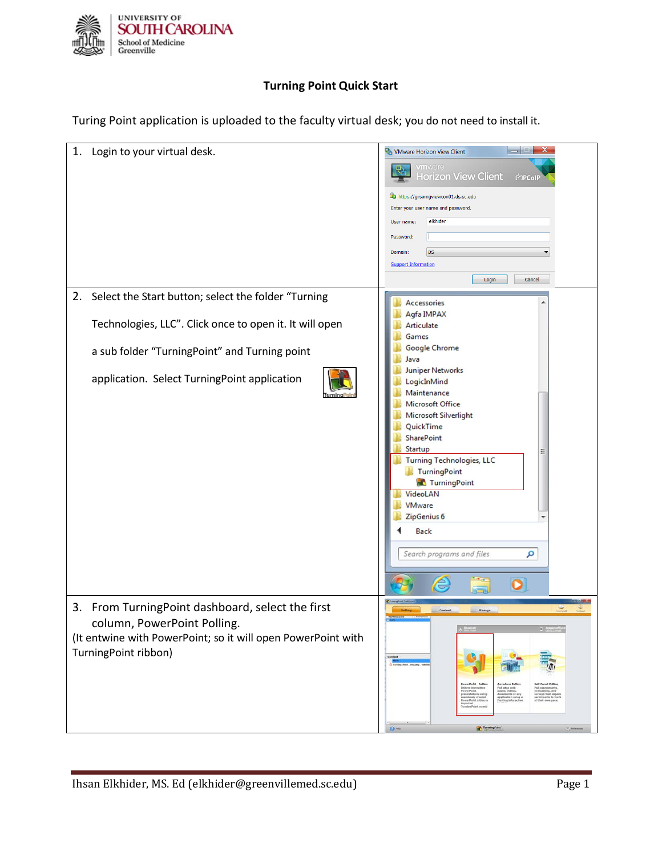

## **Turning Point Quick Start**

Turing Point application is uploaded to the faculty virtual desk; you do not need to install it.

| 1. Login to your virtual desk.                                                                                                                                                                                        | $\  - \  \mathbb{E} \ $ X<br>VMware Horizon View Client<br><b>vm</b> ware<br><b>Horizon View Client</b><br><b>C</b> PCoIP<br>https://grsomgviewcon01.ds.sc.edu<br>Enter your user name and password.<br>elkhider<br>User name:<br>Password:<br><b>DS</b><br>Domain:<br><b>Support Information</b><br>Cancel<br>Login                                                                                                  |
|-----------------------------------------------------------------------------------------------------------------------------------------------------------------------------------------------------------------------|-----------------------------------------------------------------------------------------------------------------------------------------------------------------------------------------------------------------------------------------------------------------------------------------------------------------------------------------------------------------------------------------------------------------------|
| Select the Start button; select the folder "Turning<br>2.<br>Technologies, LLC". Click once to open it. It will open<br>a sub folder "TurningPoint" and Turning point<br>application. Select TurningPoint application | Accessories<br>Agfa IMPAX<br>Articulate<br>Games<br><b>Google Chrome</b><br>Java<br><b>Juniper Networks</b><br>LogicInMind<br>Maintenance<br><b>Microsoft Office</b><br>Microsoft Silverlight<br>QuickTime<br><b>SharePoint</b><br>Startup<br><b>Turning Technologies, LLC</b><br>TurningPoint<br>TurningPoint<br>VideoLAN<br><b>VMware</b><br>ZipGenius 6<br><b>Back</b><br>Search programs and files<br>م<br>e<br>O |
| 3. From TurningPoint dashboard, select the first<br>column, PowerPoint Polling.<br>(It entwine with PowerPoint; so it will open PowerPoint with<br>TurningPoint ribbon)                                               | Content<br><b>Hanage</b><br><b>C</b> Earning Point (Mounty) on<br>creeys that req<br>application ush<br>floating interac<br>participants to work<br>at their own pace.<br>$\Omega$ me<br>Turning Paint                                                                                                                                                                                                                |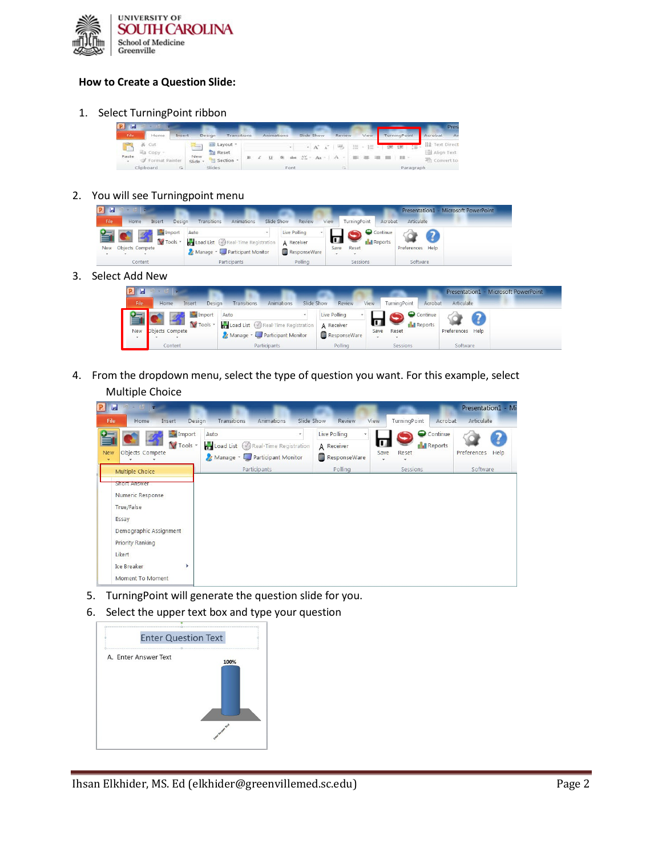

## **How to Create a Question Slide:**

1. Select TurningPoint ribbon

| <b>P</b> H      |                                    |                |                               |   |                          |                  |            |        |           |                                   | Pres                         |
|-----------------|------------------------------------|----------------|-------------------------------|---|--------------------------|------------------|------------|--------|-----------|-----------------------------------|------------------------------|
| File            | Home                               | Insert         | Design<br>Transitions         |   |                          | Animations       | Slide Show | Review | View      | TurningPoint                      | Acrobat<br>Aг                |
|                 | Cut                                | $=$            | all Layout -                  |   |                          |                  |            | 巴      | 1日 -<br>拦 | 第第一篇                              | llå Text Direct              |
| Paste<br>$\sim$ | <b>Ea</b> Copy -<br>format Painter | New<br>Slide - | <b>The Reset</b><br>Section - | в | $\overline{M}$<br>$\sim$ | and Shipper      |            |        |           |                                   | Align Text<br>The Convert to |
|                 | attitude a march                   |                | <b>SALE AREA</b>              |   |                          | <b>With code</b> |            |        |           | The transport of the late and the |                              |

2. You will see Turningpoint menu



3. Select Add New

| T.         |                          |                                      |            |              |      |                         |                  | Presentation1 - Microsoft PowerPoint |
|------------|--------------------------|--------------------------------------|------------|--------------|------|-------------------------|------------------|--------------------------------------|
| File       | Design<br>Home<br>Insert | Transitions<br>Animations            | Slide Show | Review       | View | TurningPoint<br>Acrobat | Articulate       |                                      |
|            | Import                   | Auto                                 |            | Live Polling |      | Continue                |                  |                                      |
|            | Tools -                  | Load List (V) Real-Time Registration |            | A Receiver   |      | Reports                 |                  |                                      |
| <b>New</b> | Objects Compete          | Manage v D Participant Monitor       |            | ResponseWare | Save | Reset                   | Preferences Help |                                      |
|            | Content                  | Participants                         |            | Polling      |      | Sessions                | Software         |                                      |

4. From the dropdown menu, select the type of question you want. For this example, select Multiple Choice

| $\mathbf{P}$<br>E<br>T                                                                                                                                                                   |                                                                                                  |                                                       |                                                                | Presentation1 - Mi-             |
|------------------------------------------------------------------------------------------------------------------------------------------------------------------------------------------|--------------------------------------------------------------------------------------------------|-------------------------------------------------------|----------------------------------------------------------------|---------------------------------|
| <b>File</b><br>Home.<br>Insert                                                                                                                                                           | Design<br>Transitions<br>Slide Show<br>Animations                                                | Review<br><b>View</b>                                 | TurningPoint<br>Acrobat                                        | Articulate                      |
| Import<br>Tools *<br>Objects Compete<br><b>New</b><br>×                                                                                                                                  | Auto<br>v.<br>Load List Real-Time Registration<br>Manage v D Participant Monitor<br>Participants | Live Polling<br>A Receiver<br>ResponseWare<br>Polling | Continue<br><b>Reports</b><br>Save<br>Reset<br><b>Sessions</b> | Preferences<br>Help<br>Software |
| Multiple Choice<br>Short Answer<br>Numeric Response<br>True/False<br>Essay<br>Demographic Assignment<br><b>Priority Ranking</b><br>Likert<br><b>Ice Breaker</b><br>Þ<br>Moment To Moment |                                                                                                  |                                                       |                                                                |                                 |

- 5. TurningPoint will generate the question slide for you.
- 6. Select the upper text box and type your question